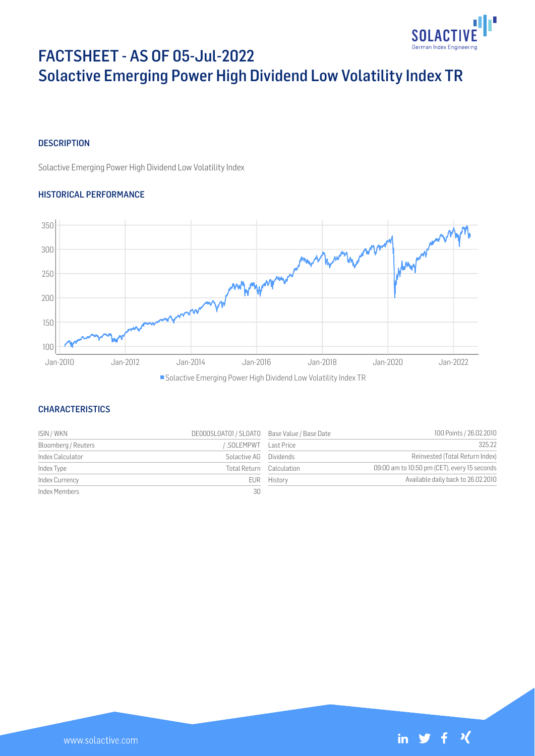

# FACTSHEET - AS OF 05-Jul-2022 Solactive Emerging Power High Dividend Low Volatility Index TR

## **DESCRIPTION**

Solactive Emerging Power High Dividend Low Volatility Index

## HISTORICAL PERFORMANCE



## **CHARACTERISTICS**

| ISIN / WKN          | DE000SL0AT01 / SL0AT0 Base Value / Base Date |             | 100 Points / 26.02.2010                      |
|---------------------|----------------------------------------------|-------------|----------------------------------------------|
| Bloomberg / Reuters | SOLEMPWT Last Price                          |             | 325.22                                       |
| Index Calculator    | Solactive AG Dividends                       |             | Reinvested (Total Return Index)              |
| Index Type          | Total Return Calculation                     |             | 09:00 am to 10:50 pm (CET), every 15 seconds |
| Index Currency      |                                              | EUR History | Available daily back to 26.02.2010           |
| Index Members       | 30                                           |             |                                              |

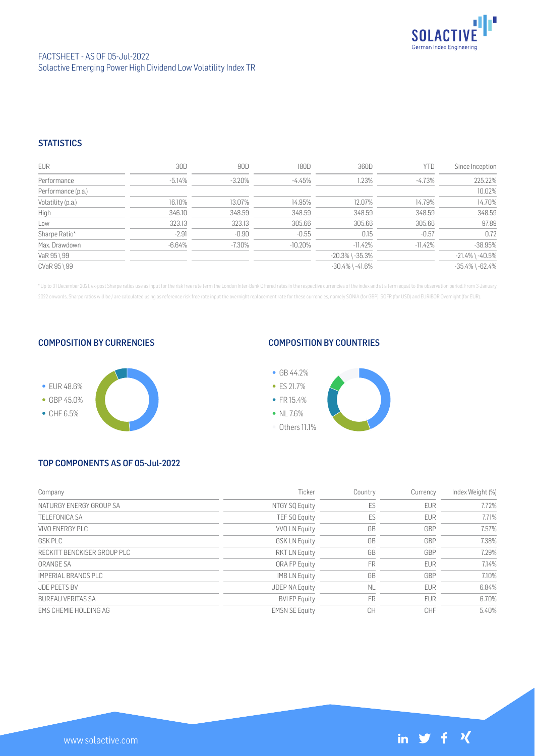

## FACTSHEET - AS OF 05-Jul-2022 Solactive Emerging Power High Dividend Low Volatility Index TR

## **STATISTICS**

| <b>EUR</b>         | 30D      | 90D       | 180D      | 360D                  | YTD       | Since Inception       |
|--------------------|----------|-----------|-----------|-----------------------|-----------|-----------------------|
| Performance        | $-5.14%$ | $-3.20\%$ | -4.45%    | 1.23%                 | -4.73%    | 225.22%               |
| Performance (p.a.) |          |           |           |                       |           | 10.02%                |
| Volatility (p.a.)  | 16.10%   | 13.07%    | 14.95%    | 12.07%                | 14.79%    | 14.70%                |
| High               | 346.10   | 348.59    | 348.59    | 348.59                | 348.59    | 348.59                |
| Low                | 323.13   | 323.13    | 305.66    | 305.66                | 305.66    | 97.89                 |
| Sharpe Ratio*      | $-2.91$  | $-0.90$   | $-0.55$   | 0.15                  | $-0.57$   | 0.72                  |
| Max. Drawdown      | $-6.64%$ | $-7.30\%$ | $-10.20%$ | $-11.42%$             | $-11.42%$ | $-38.95%$             |
| VaR 95 \ 99        |          |           |           | $-20.3\%$ \ $-35.3\%$ |           | $-21.4\%$ \ $-40.5\%$ |
| CVaR 95 \ 99       |          |           |           | $-30.4\%$ \ $-41.6\%$ |           | $-35.4\%$ \ $-62.4\%$ |

\* Up to 31 December 2021, ex-post Sharpe ratios use as input for the risk free rate term the London Inter-Bank Offered rates in the respective currencies of the index and at a term equal to the observation period. From 3 J 2022 onwards, Sharpe ratios will be / are calculated using as reference risk free rate input the overnight replacement rate for these currencies, namely SONIA (for GBP), SOFR (for USD) and EURIBOR Overnight (for EUR).

### COMPOSITION BY CURRENCIES



## COMPOSITION BY COUNTRIES



# TOP COMPONENTS AS OF 05-Jul-2022

| Company                     | Ticker                | Country   | Currency   | Index Weight (%) |
|-----------------------------|-----------------------|-----------|------------|------------------|
| NATURGY ENERGY GROUP SA     | NTGY SQ Equity        | ES        | <b>EUR</b> | 7.72%            |
| <b>TELEFONICA SA</b>        | TEF SQ Equity         | ES        | <b>EUR</b> | 7.71%            |
| VIVO ENERGY PLC             | VVO LN Equity         | GB        | GBP        | 7.57%            |
| GSK PLC                     | <b>GSK LN Equity</b>  | GB        | GBP        | 7.38%            |
| RECKITT BENCKISER GROUP PLC | <b>RKT LN Equity</b>  | GB        | GBP        | 7.29%            |
| ORANGE SA                   | ORA FP Equity         | <b>FR</b> | <b>EUR</b> | 7.14%            |
| IMPERIAL BRANDS PLC         | <b>IMBLN</b> Equity   | GB        | GBP        | 7.10%            |
| <b>JDF PFFTS BV</b>         | <b>JDEP NA Equity</b> | <b>NL</b> | <b>EUR</b> | 6.84%            |
| <b>BURFAU VERITAS SA</b>    | <b>BVI FP Equity</b>  | <b>FR</b> | <b>EUR</b> | 6.70%            |
| EMS CHEMIE HOLDING AG       | <b>EMSN SE Equity</b> | CН        | CHF        | 5.40%            |